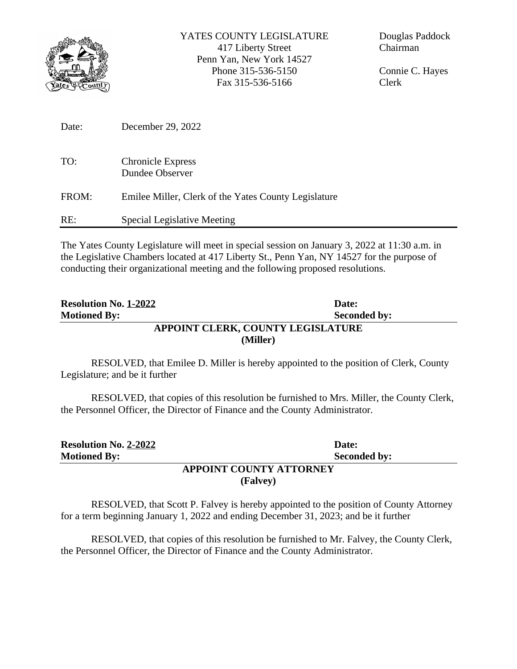

Connie C. Hayes Clerk

| Date: | December 29, 2022                                    |
|-------|------------------------------------------------------|
| TO:   | <b>Chronicle Express</b><br>Dundee Observer          |
| FROM: | Emilee Miller, Clerk of the Yates County Legislature |
| RE:   | Special Legislative Meeting                          |

The Yates County Legislature will meet in special session on January 3, 2022 at 11:30 a.m. in the Legislative Chambers located at 417 Liberty St., Penn Yan, NY 14527 for the purpose of conducting their organizational meeting and the following proposed resolutions.

| <b>Resolution No. 1-2022</b> | Date:                             |
|------------------------------|-----------------------------------|
| <b>Motioned By:</b>          | <b>Seconded by:</b>               |
|                              | APPOINT CLERK, COUNTY LEGISLATURE |
|                              | (Miller)                          |

RESOLVED, that Emilee D. Miller is hereby appointed to the position of Clerk, County Legislature; and be it further

RESOLVED, that copies of this resolution be furnished to Mrs. Miller, the County Clerk, the Personnel Officer, the Director of Finance and the County Administrator.

| <b>Resolution No. 2-2022</b> | Date:                          |
|------------------------------|--------------------------------|
| <b>Motioned By:</b>          | <b>Seconded by:</b>            |
|                              | <b>APPOINT COUNTY ATTORNEY</b> |
|                              | (Falvey)                       |

RESOLVED, that Scott P. Falvey is hereby appointed to the position of County Attorney for a term beginning January 1, 2022 and ending December 31, 2023; and be it further

RESOLVED, that copies of this resolution be furnished to Mr. Falvey, the County Clerk, the Personnel Officer, the Director of Finance and the County Administrator.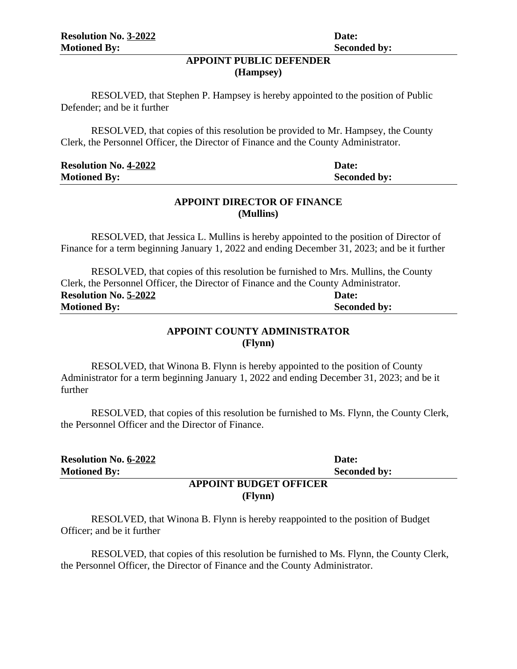## **APPOINT PUBLIC DEFENDER (Hampsey)**

RESOLVED, that Stephen P. Hampsey is hereby appointed to the position of Public Defender; and be it further

RESOLVED, that copies of this resolution be provided to Mr. Hampsey, the County Clerk, the Personnel Officer, the Director of Finance and the County Administrator.

| <b>Resolution No. 4-2022</b> | Date:               |
|------------------------------|---------------------|
| <b>Motioned By:</b>          | <b>Seconded by:</b> |

## **APPOINT DIRECTOR OF FINANCE (Mullins)**

RESOLVED, that Jessica L. Mullins is hereby appointed to the position of Director of Finance for a term beginning January 1, 2022 and ending December 31, 2023; and be it further

RESOLVED, that copies of this resolution be furnished to Mrs. Mullins, the County Clerk, the Personnel Officer, the Director of Finance and the County Administrator. **Resolution No. 5-2022 Date: Motioned By:** Seconded by:

# **APPOINT COUNTY ADMINISTRATOR (Flynn)**

RESOLVED, that Winona B. Flynn is hereby appointed to the position of County Administrator for a term beginning January 1, 2022 and ending December 31, 2023; and be it further

RESOLVED, that copies of this resolution be furnished to Ms. Flynn, the County Clerk, the Personnel Officer and the Director of Finance.

| <b>Resolution No. 6-2022</b>  | Date:               |  |
|-------------------------------|---------------------|--|
| <b>Motioned By:</b>           | <b>Seconded by:</b> |  |
| <b>APPOINT BUDGET OFFICER</b> |                     |  |
|                               | (Flynn)             |  |

RESOLVED, that Winona B. Flynn is hereby reappointed to the position of Budget Officer; and be it further

RESOLVED, that copies of this resolution be furnished to Ms. Flynn, the County Clerk, the Personnel Officer, the Director of Finance and the County Administrator.